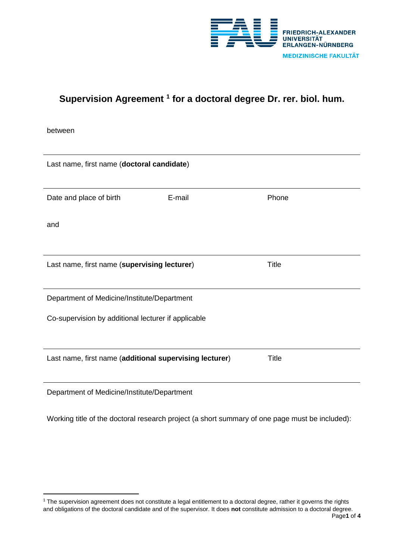

# **Supervision Agreement <sup>1</sup> for a doctoral degree Dr. rer. biol. hum.**

between

 $\overline{\phantom{a}}$ 

| Last name, first name (doctoral candidate)              |        |              |  |
|---------------------------------------------------------|--------|--------------|--|
|                                                         |        |              |  |
| Date and place of birth                                 | E-mail | Phone        |  |
| and                                                     |        |              |  |
|                                                         |        |              |  |
| Last name, first name (supervising lecturer)            |        | Title        |  |
|                                                         |        |              |  |
| Department of Medicine/Institute/Department             |        |              |  |
| Co-supervision by additional lecturer if applicable     |        |              |  |
|                                                         |        |              |  |
| Last name, first name (additional supervising lecturer) |        | <b>Title</b> |  |
|                                                         |        |              |  |
| Department of Medicine/Institute/Department             |        |              |  |

Working title of the doctoral research project (a short summary of one page must be included):

 $1$  The supervision agreement does not constitute a legal entitlement to a doctoral degree, rather it governs the rights and obligations of the doctoral candidate and of the supervisor. It does **not** constitute admission to a doctoral degree.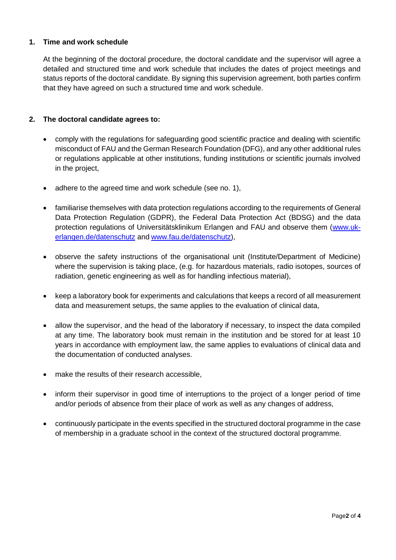### **1. Time and work schedule**

At the beginning of the doctoral procedure, the doctoral candidate and the supervisor will agree a detailed and structured time and work schedule that includes the dates of project meetings and status reports of the doctoral candidate. By signing this supervision agreement, both parties confirm that they have agreed on such a structured time and work schedule.

#### **2. The doctoral candidate agrees to:**

- comply with the regulations for safeguarding good scientific practice and dealing with scientific misconduct of FAU and the German Research Foundation (DFG), and any other additional rules or regulations applicable at other institutions, funding institutions or scientific journals involved in the project,
- adhere to the agreed time and work schedule (see no. 1),
- familiarise themselves with data protection regulations according to the requirements of General Data Protection Regulation (GDPR), the Federal Data Protection Act (BDSG) and the data protection regulations of Universitätsklinikum Erlangen and FAU and observe them [\(www.uk](http://www.uk-erlangen.de/datenschutz)[erlangen.de/datenschutz](http://www.uk-erlangen.de/datenschutz) and [www.fau.de/datenschutz\)](http://www.fau.de/datenschutz),
- observe the safety instructions of the organisational unit (Institute/Department of Medicine) where the supervision is taking place, (e.g. for hazardous materials, radio isotopes, sources of radiation, genetic engineering as well as for handling infectious material),
- keep a laboratory book for experiments and calculations that keeps a record of all measurement data and measurement setups, the same applies to the evaluation of clinical data,
- allow the supervisor, and the head of the laboratory if necessary, to inspect the data compiled at any time. The laboratory book must remain in the institution and be stored for at least 10 years in accordance with employment law, the same applies to evaluations of clinical data and the documentation of conducted analyses.
- make the results of their research accessible,
- inform their supervisor in good time of interruptions to the project of a longer period of time and/or periods of absence from their place of work as well as any changes of address,
- continuously participate in the events specified in the structured doctoral programme in the case of membership in a graduate school in the context of the structured doctoral programme.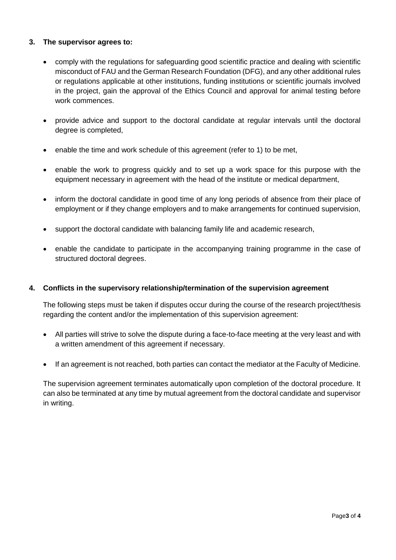### **3. The supervisor agrees to:**

- comply with the regulations for safeguarding good scientific practice and dealing with scientific misconduct of FAU and the German Research Foundation (DFG), and any other additional rules or regulations applicable at other institutions, funding institutions or scientific journals involved in the project, gain the approval of the Ethics Council and approval for animal testing before work commences.
- provide advice and support to the doctoral candidate at regular intervals until the doctoral degree is completed,
- enable the time and work schedule of this agreement (refer to 1) to be met,
- enable the work to progress quickly and to set up a work space for this purpose with the equipment necessary in agreement with the head of the institute or medical department,
- inform the doctoral candidate in good time of any long periods of absence from their place of employment or if they change employers and to make arrangements for continued supervision,
- support the doctoral candidate with balancing family life and academic research,
- enable the candidate to participate in the accompanying training programme in the case of structured doctoral degrees.

#### **4. Conflicts in the supervisory relationship/termination of the supervision agreement**

The following steps must be taken if disputes occur during the course of the research project/thesis regarding the content and/or the implementation of this supervision agreement:

- All parties will strive to solve the dispute during a face-to-face meeting at the very least and with a written amendment of this agreement if necessary.
- If an agreement is not reached, both parties can contact the mediator at the Faculty of Medicine.

The supervision agreement terminates automatically upon completion of the doctoral procedure. It can also be terminated at any time by mutual agreement from the doctoral candidate and supervisor in writing.